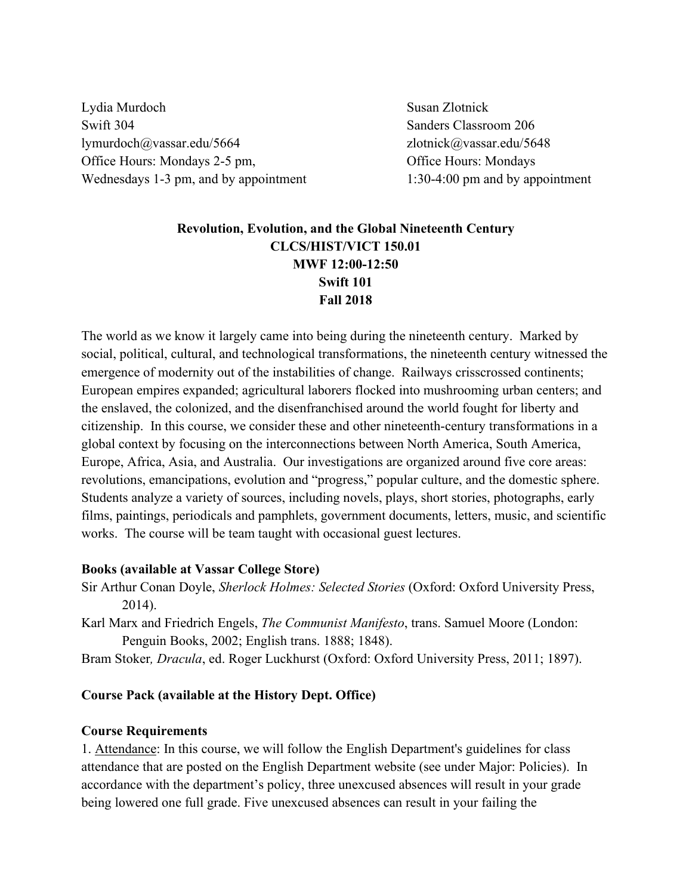Lydia Murdoch Susan Zlotnick Swift 304 Sanders Classroom 206 lymurdoch@vassar.edu/5664 zlotnick@vassar.edu/5648 Office Hours: Mondays 2-5 pm, Office Hours: Mondays Wednesdays 1-3 pm, and by appointment 1:30-4:00 pm and by appointment

## **Revolution, Evolution, and the Global Nineteenth Century CLCS/HIST/VICT 150.01 MWF 12:00-12:50 Swift 101 Fall 2018**

The world as we know it largely came into being during the nineteenth century. Marked by social, political, cultural, and technological transformations, the nineteenth century witnessed the emergence of modernity out of the instabilities of change. Railways crisscrossed continents; European empires expanded; agricultural laborers flocked into mushrooming urban centers; and the enslaved, the colonized, and the disenfranchised around the world fought for liberty and citizenship. In this course, we consider these and other nineteenth-century transformations in a global context by focusing on the interconnections between North America, South America, Europe, Africa, Asia, and Australia. Our investigations are organized around five core areas: revolutions, emancipations, evolution and "progress," popular culture, and the domestic sphere. Students analyze a variety of sources, including novels, plays, short stories, photographs, early films, paintings, periodicals and pamphlets, government documents, letters, music, and scientific works. The course will be team taught with occasional guest lectures.

#### **Books (available at Vassar College Store)**

- Sir Arthur Conan Doyle, *Sherlock Holmes: Selected Stories* (Oxford: Oxford University Press, 2014).
- Karl Marx and Friedrich Engels, *The Communist Manifesto*, trans. Samuel Moore (London: Penguin Books, 2002; English trans. 1888; 1848).
- Bram Stoker*, Dracula*, ed. Roger Luckhurst (Oxford: Oxford University Press, 2011; 1897).

#### **Course Pack (available at the History Dept. Office)**

#### **Course Requirements**

1. Attendance: In this course, we will follow the English Department's guidelines for class attendance that are posted on the English Department website (see under Major: Policies). In accordance with the department's policy, three unexcused absences will result in your grade being lowered one full grade. Five unexcused absences can result in your failing the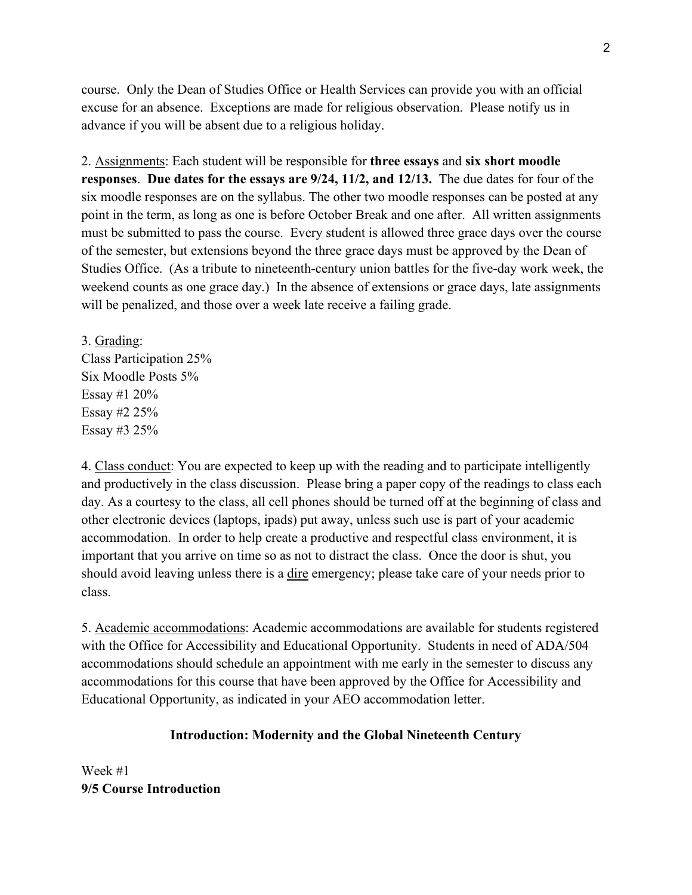course. Only the Dean of Studies Office or Health Services can provide you with an official excuse for an absence. Exceptions are made for religious observation. Please notify us in advance if you will be absent due to a religious holiday.

2. Assignments: Each student will be responsible for **three essays** and **six short moodle responses**. **Due dates for the essays are 9/24, 11/2, and 12/13.** The due dates for four of the six moodle responses are on the syllabus. The other two moodle responses can be posted at any point in the term, as long as one is before October Break and one after. All written assignments must be submitted to pass the course. Every student is allowed three grace days over the course of the semester, but extensions beyond the three grace days must be approved by the Dean of Studies Office. (As a tribute to nineteenth-century union battles for the five-day work week, the weekend counts as one grace day.) In the absence of extensions or grace days, late assignments will be penalized, and those over a week late receive a failing grade.

3. Grading: Class Participation 25% Six Moodle Posts 5% Essay #1 20% Essay #2 25% Essay #3 25%

4. Class conduct: You are expected to keep up with the reading and to participate intelligently and productively in the class discussion. Please bring a paper copy of the readings to class each day. As a courtesy to the class, all cell phones should be turned off at the beginning of class and other electronic devices (laptops, ipads) put away, unless such use is part of your academic accommodation. In order to help create a productive and respectful class environment, it is important that you arrive on time so as not to distract the class. Once the door is shut, you should avoid leaving unless there is a dire emergency; please take care of your needs prior to class.

5. Academic accommodations: Academic accommodations are available for students registered with the Office for Accessibility and Educational Opportunity. Students in need of ADA/504 accommodations should schedule an appointment with me early in the semester to discuss any accommodations for this course that have been approved by the Office for Accessibility and Educational Opportunity, as indicated in your AEO accommodation letter.

#### **Introduction: Modernity and the Global Nineteenth Century**

Week #1 **9/5 Course Introduction**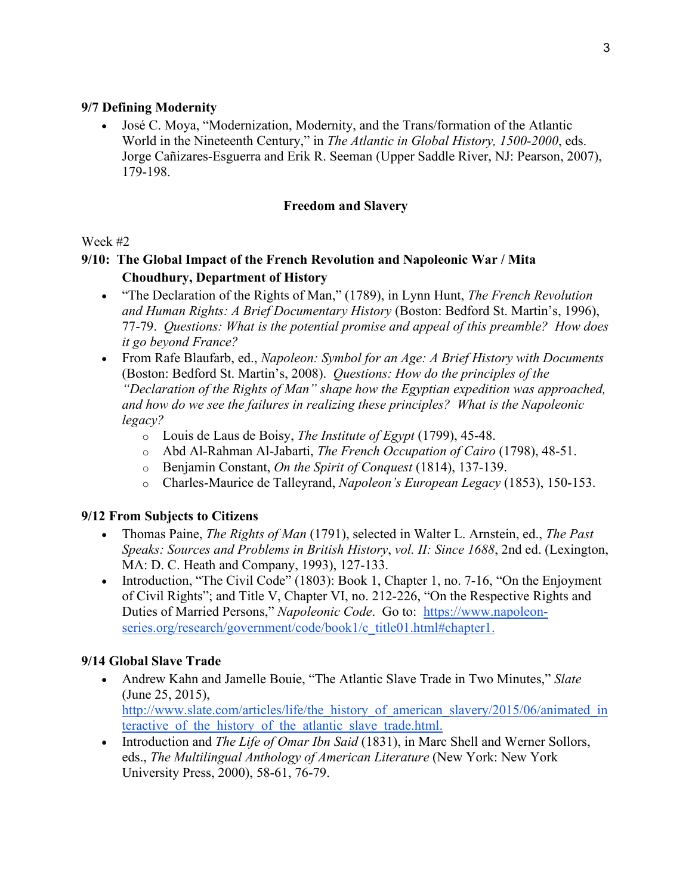#### **9/7 Defining Modernity**

• José C. Moya, "Modernization, Modernity, and the Trans/formation of the Atlantic World in the Nineteenth Century," in *The Atlantic in Global History, 1500-2000*, eds. Jorge Cañizares-Esguerra and Erik R. Seeman (Upper Saddle River, NJ: Pearson, 2007), 179-198.

#### **Freedom and Slavery**

#### Week #2

# **9/10: The Global Impact of the French Revolution and Napoleonic War / Mita Choudhury, Department of History**

- "The Declaration of the Rights of Man," (1789), in Lynn Hunt, *The French Revolution and Human Rights: A Brief Documentary History* (Boston: Bedford St. Martin's, 1996), 77-79. *Questions: What is the potential promise and appeal of this preamble? How does it go beyond France?*
- From Rafe Blaufarb, ed., *Napoleon: Symbol for an Age: A Brief History with Documents* (Boston: Bedford St. Martin's, 2008). *Questions: How do the principles of the "Declaration of the Rights of Man" shape how the Egyptian expedition was approached, and how do we see the failures in realizing these principles? What is the Napoleonic legacy?*
	- o Louis de Laus de Boisy, *The Institute of Egypt* (1799), 45-48.
	- o Abd Al-Rahman Al-Jabarti, *The French Occupation of Cairo* (1798), 48-51.
	- o Benjamin Constant, *On the Spirit of Conquest* (1814), 137-139.
	- o Charles-Maurice de Talleyrand, *Napoleon's European Legacy* (1853), 150-153.

## **9/12 From Subjects to Citizens**

- Thomas Paine, *The Rights of Man* (1791), selected in Walter L. Arnstein, ed., *The Past Speaks: Sources and Problems in British History*, *vol. II: Since 1688*, 2nd ed. (Lexington, MA: D. C. Heath and Company, 1993), 127-133.
- Introduction, "The Civil Code" (1803): Book 1, Chapter 1, no. 7-16, "On the Enjoyment of Civil Rights"; and Title V, Chapter VI, no. 212-226, "On the Respective Rights and Duties of Married Persons," *Napoleonic Code*. Go to: [https://www.napoleon](https://www.napoleon-series.org/research/government/code/book1/c_title01.html#chapter1)[series.org/research/government/code/book1/c\\_title01.html#chapter1.](https://www.napoleon-series.org/research/government/code/book1/c_title01.html#chapter1)

## **9/14 Global Slave Trade**

- Andrew Kahn and Jamelle Bouie, "The Atlantic Slave Trade in Two Minutes," *Slate*  (June 25, 2015)[,](http://www.slate.com/articles/life/the_history_of_american_slavery/2015/06/animated_interactive_of_the_history_of_the_atlantic_slave_trade.html?wpsrc=sh_all_dt_tw_top) [http://www.slate.com/articles/life/the\\_history\\_of\\_american\\_slavery/2015/06/animated\\_in](http://www.slate.com/articles/life/the_history_of_american_slavery/2015/06/animated_interactive_of_the_history_of_the_atlantic_slave_trade.html) teractive of the history of the atlantic slave trade.html.
- Introduction and *The Life of Omar Ibn Said* (1831), in Marc Shell and Werner Sollors, eds., *The Multilingual Anthology of American Literature* (New York: New York University Press, 2000), 58-61, 76-79.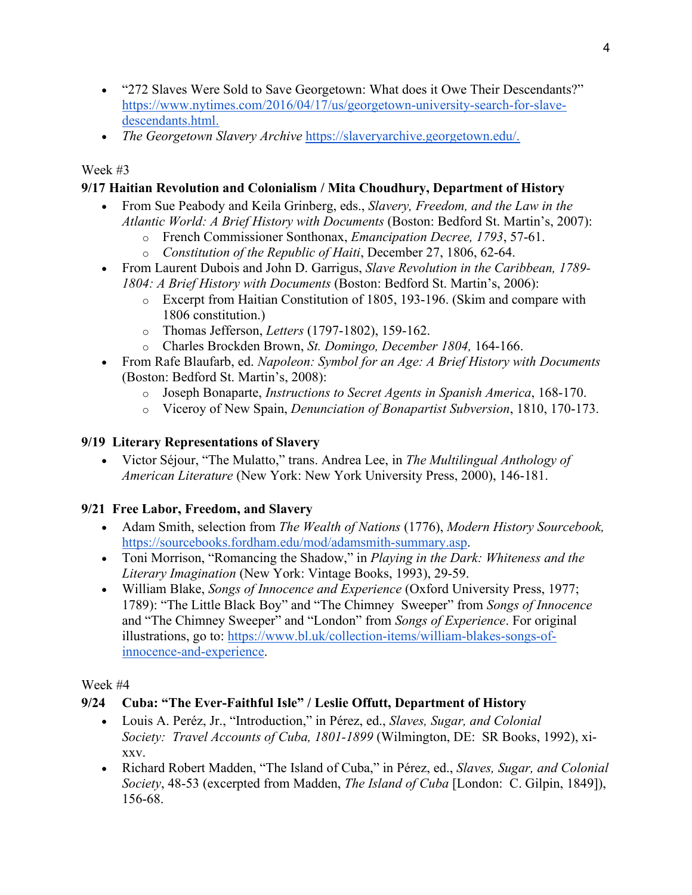- "272 Slaves Were Sold to Save Georgetown: What does it Owe Their Descendants?" [https://www.nytimes.com/2016/04/17/us/georgetown-university-search-for-slave](https://www.nytimes.com/2016/04/17/us/georgetown-university-search-for-slave-descendants.html)[descendants.html.](https://www.nytimes.com/2016/04/17/us/georgetown-university-search-for-slave-descendants.html)
- *The Georgetown Slavery Archive* [https://slaveryarchive.georgetown.edu/.](https://slaveryarchive.georgetown.edu/)

## Week #3

## **9/17 Haitian Revolution and Colonialism / Mita Choudhury, Department of History**

- From Sue Peabody and Keila Grinberg, eds., *Slavery, Freedom, and the Law in the Atlantic World: A Brief History with Documents* (Boston: Bedford St. Martin's, 2007):
	- o French Commissioner Sonthonax, *Emancipation Decree, 1793*, 57-61.
	- o *Constitution of the Republic of Haiti*, December 27, 1806, 62-64.
- From Laurent Dubois and John D. Garrigus, *Slave Revolution in the Caribbean, 1789- 1804: A Brief History with Documents* (Boston: Bedford St. Martin's, 2006):
	- o Excerpt from Haitian Constitution of 1805, 193-196. (Skim and compare with 1806 constitution.)
	- o Thomas Jefferson, *Letters* (1797-1802), 159-162.
	- o Charles Brockden Brown, *St. Domingo, December 1804,* 164-166.
- From Rafe Blaufarb, ed. *Napoleon: Symbol for an Age: A Brief History with Documents* (Boston: Bedford St. Martin's, 2008):
	- o Joseph Bonaparte, *Instructions to Secret Agents in Spanish America*, 168-170.
	- o Viceroy of New Spain, *Denunciation of Bonapartist Subversion*, 1810, 170-173.

## **9/19 Literary Representations of Slavery**

• Victor Séjour, "The Mulatto," trans. Andrea Lee, in *The Multilingual Anthology of American Literature* (New York: New York University Press, 2000), 146-181.

### **9/21 Free Labor, Freedom, and Slavery**

- Adam Smith, selection from *The Wealth of Nations* (1776), *Modern History Sourcebook,*  [https://sourcebooks.fordham.edu/mod/adamsmith-summary.asp.](https://sourcebooks.fordham.edu/mod/adamsmith-summary.asp)
- Toni Morrison, "Romancing the Shadow," in *Playing in the Dark: Whiteness and the Literary Imagination* (New York: Vintage Books, 1993), 29-59.
- William Blake, *Songs of Innocence and Experience* (Oxford University Press, 1977; 1789): "The Little Black Boy" and "The Chimney Sweeper" from *Songs of Innocence* and "The Chimney Sweeper" and "London" from *Songs of Experience*. For original illustrations, go to: [https://www.bl.uk/collection-items/william-blakes-songs-of](https://www.bl.uk/collection-items/william-blakes-songs-of-innocence-and-experience)[innocence-and-experience.](https://www.bl.uk/collection-items/william-blakes-songs-of-innocence-and-experience)

## Week #4

## **9/24 Cuba: "The Ever-Faithful Isle" / Leslie Offutt, Department of History**

- Louis A. Peréz, Jr., "Introduction," in Pérez, ed., *Slaves, Sugar, and Colonial Society: Travel Accounts of Cuba, 1801-1899* (Wilmington, DE: SR Books, 1992), xixxv.
- Richard Robert Madden, "The Island of Cuba," in Pérez, ed., *Slaves, Sugar, and Colonial Society*, 48-53 (excerpted from Madden, *The Island of Cuba* [London: C. Gilpin, 1849]), 156-68.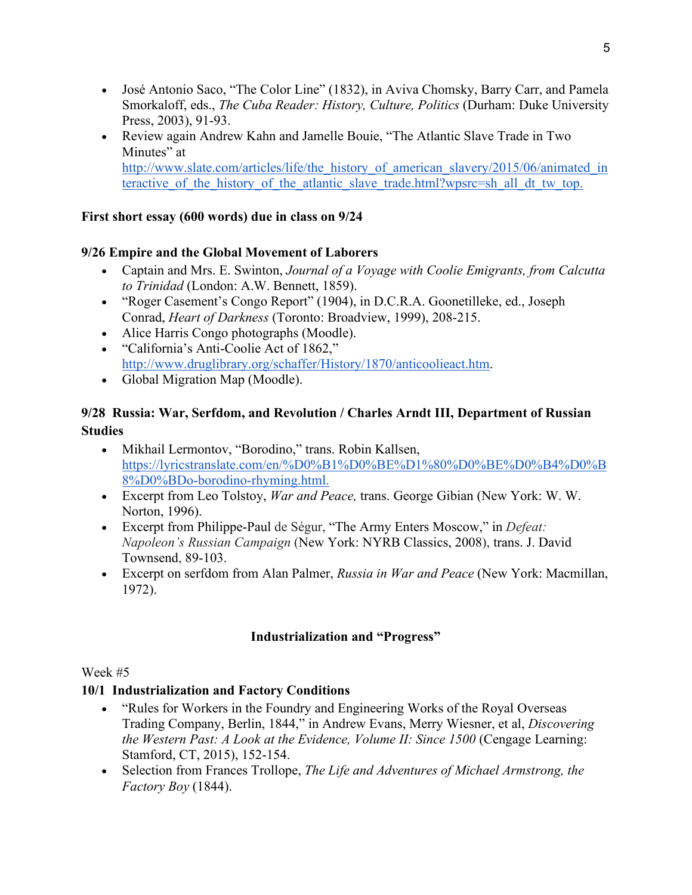- José Antonio Saco, "The Color Line" (1832), in Aviva Chomsky, Barry Carr, and Pamela Smorkaloff, eds., *The Cuba Reader: History, Culture, Politics* (Durham: Duke University Press, 2003), 91-93.
- Review again Andrew Kahn and Jamelle Bouie, "The Atlantic Slave Trade in Two Minutes" at [http://www.slate.com/articles/life/the\\_history\\_of\\_american\\_slavery/2015/06/animated\\_in](http://www.slate.com/articles/life/the_history_of_american_slavery/2015/06/animated_interactive_of_the_history_of_the_atlantic_slave_trade.html?wpsrc=sh_all_dt_tw_top) teractive of the history of the atlantic slave trade.html?wpsrc=sh\_all\_dt\_tw\_top.

## **First short essay (600 words) due in class on 9/24**

## **9/26 Empire and the Global Movement of Laborers**

- Captain and Mrs. E. Swinton, *Journal of a Voyage with Coolie Emigrants, from Calcutta to Trinidad* (London: A.W. Bennett, 1859).
- "Roger Casement's Congo Report" (1904), in D.C.R.A. Goonetilleke, ed., Joseph Conrad, *Heart of Darkness* (Toronto: Broadview, 1999), 208-215.
- Alice Harris Congo photographs (Moodle).
- "California's Anti-Coolie Act of 1862," [http://www.druglibrary.org/schaffer/History/1870/anticoolieact.htm.](http://www.druglibrary.org/schaffer/History/1870/anticoolieact.htm)
- Global Migration Map (Moodle).

## **9/28 Russia: War, Serfdom, and Revolution / Charles Arndt III, Department of Russian Studies**

- Mikhail Lermontov, "Borodino," trans. Robin Kallsen, [https://lyricstranslate.com/en/%D0%B1%D0%BE%D1%80%D0%BE%D0%B4%D0%B](https://lyricstranslate.com/en/%D0%B1%D0%BE%D1%80%D0%BE%D0%B4%D0%B8%D0%BDo-borodino-rhyming.html) [8%D0%BDo-borodino-rhyming.html.](https://lyricstranslate.com/en/%D0%B1%D0%BE%D1%80%D0%BE%D0%B4%D0%B8%D0%BDo-borodino-rhyming.html)
- Excerpt from Leo Tolstoy, *War and Peace,* trans. George Gibian (New York: W. W. Norton, 1996).
- Excerpt from Philippe-Paul de Ségur, "The Army Enters Moscow," in *Defeat: Napoleon's Russian Campaign* (New York: NYRB Classics, 2008), trans. J. David Townsend, 89-103.
- Excerpt on serfdom from Alan Palmer, *Russia in War and Peace* (New York: Macmillan, 1972).

## **Industrialization and "Progress"**

### Week #5

### **10/1 Industrialization and Factory Conditions**

- "Rules for Workers in the Foundry and Engineering Works of the Royal Overseas Trading Company, Berlin, 1844," in Andrew Evans, Merry Wiesner, et al, *Discovering the Western Past: A Look at the Evidence, Volume II: Since 1500 (Cengage Learning:* Stamford, CT, 2015), 152-154.
- Selection from Frances Trollope, *The Life and Adventures of Michael Armstrong, the Factory Boy* (1844).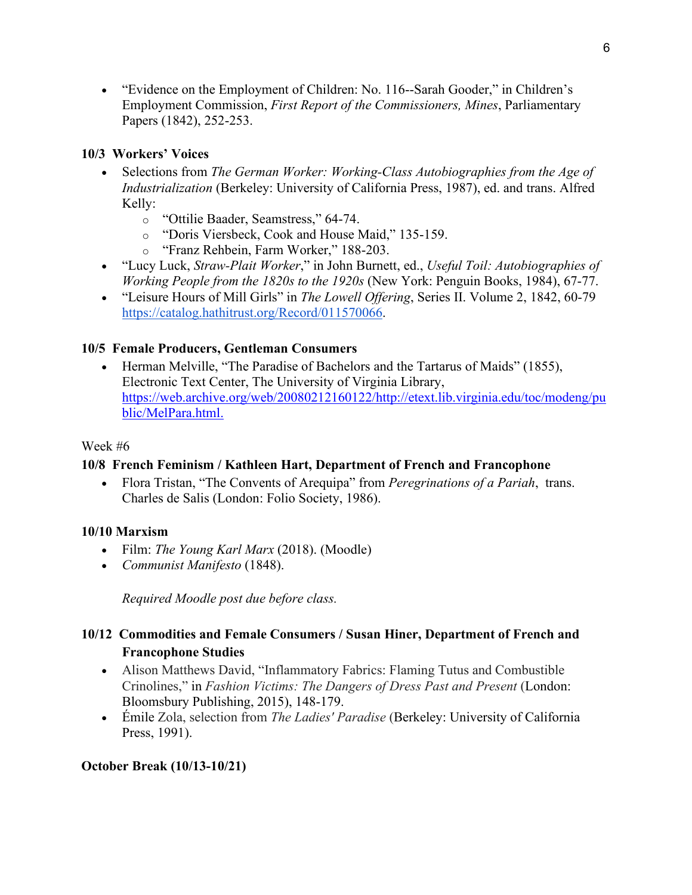• "Evidence on the Employment of Children: No. 116–Sarah Gooder," in Children's Employment Commission, *First Report of the Commissioners, Mines*, Parliamentary Papers (1842), 252-253.

## **10/3 Workers' Voices**

- Selections from *The German Worker: Working-Class Autobiographies from the Age of Industrialization* (Berkeley: University of California Press, 1987), ed. and trans. Alfred Kelly:
	- o "Ottilie Baader, Seamstress," 64-74.
	- o "Doris Viersbeck, Cook and House Maid," 135-159.
	- o "Franz Rehbein, Farm Worker," 188-203.
- "Lucy Luck, *Straw-Plait Worker*," in John Burnett, ed., *Useful Toil: Autobiographies of Working People from the 1820s to the 1920s* (New York: Penguin Books, 1984), 67-77.
- "Leisure Hours of Mill Girls" in *The Lowell Offering*, Series II. Volume 2, 1842, 60-79 [https://catalog.hathitrust.org/Record/011570066.](https://catalog.hathitrust.org/Record/011570066)

## **10/5 Female Producers, Gentleman Consumers**

• Herman Melville, "The Paradise of Bachelors and the Tartarus of Maids" (1855), Electronic Text Center, The University of Virginia Library, [https://web.archive.org/web/20080212160122/http://etext.lib.virginia.edu/toc/modeng/pu](https://web.archive.org/web/20080212160122/http:/etext.lib.virginia.edu/toc/modeng/public/MelPara.html) [blic/MelPara.html.](https://web.archive.org/web/20080212160122/http:/etext.lib.virginia.edu/toc/modeng/public/MelPara.html)

#### Week #6

### **10/8 French Feminism / Kathleen Hart, Department of French and Francophone**

• Flora Tristan, "The Convents of Arequipa" from *Peregrinations of a Pariah*, trans. Charles de Salis (London: Folio Society, 1986).

### **10/10 Marxism**

- Film: *The Young Karl Marx* (2018). (Moodle)
- *Communist Manifesto* (1848).

*Required Moodle post due before class.*

## **10/12 Commodities and Female Consumers / Susan Hiner, Department of French and Francophone Studies**

- Alison Matthews David, "Inflammatory Fabrics: Flaming Tutus and Combustible Crinolines," in *Fashion Victims: The Dangers of Dress Past and Present* (London: Bloomsbury Publishing, 2015), 148-179.
- Émile Zola, selection from *The Ladies' Paradise* (Berkeley: University of California Press, 1991).

### **October Break (10/13-10/21)**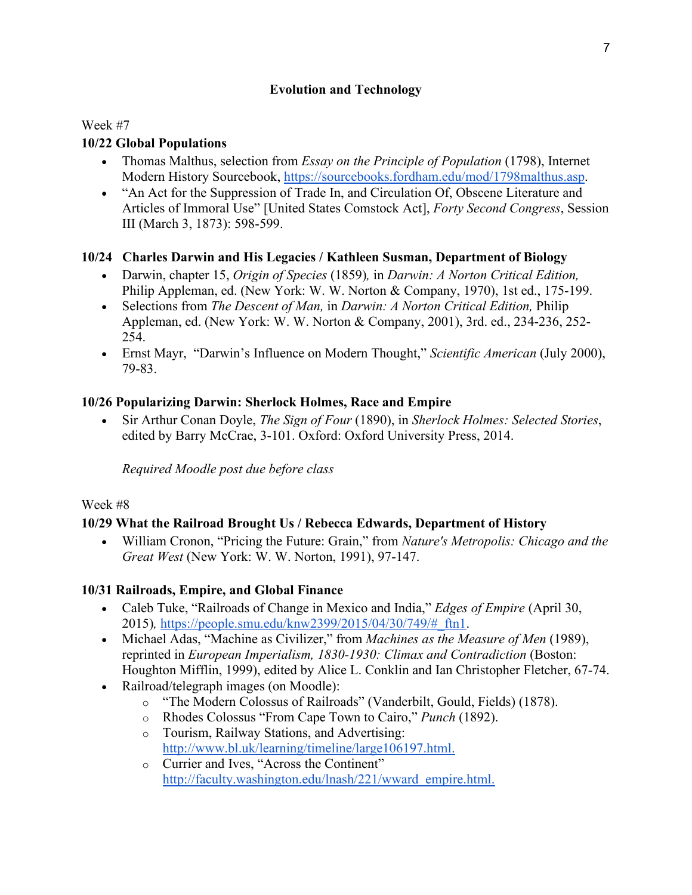## **Evolution and Technology**

## Week #7

## **10/22 Global Populations**

- Thomas Malthus, selection from *Essay on the Principle of Population* (1798), Internet Modern History Sourcebook, [https://sourcebooks.fordham.edu/mod/1798malthus.asp.](https://sourcebooks.fordham.edu/mod/1798malthus.asp)
- "An Act for the Suppression of Trade In, and Circulation Of, Obscene Literature and Articles of Immoral Use" [United States Comstock Act], *Forty Second Congress*, Session III (March 3, 1873): 598-599.

## **10/24 Charles Darwin and His Legacies / Kathleen Susman, Department of Biology**

- Darwin, chapter 15, *Origin of Species* (1859)*,* in *Darwin: A Norton Critical Edition,*  Philip Appleman, ed. (New York: W. W. Norton & Company, 1970), 1st ed., 175-199.
- Selections from *The Descent of Man,* in *Darwin: A Norton Critical Edition,* Philip Appleman, ed. (New York: W. W. Norton & Company, 2001), 3rd. ed., 234-236, 252- 254.
- Ernst Mayr, "Darwin's Influence on Modern Thought," *Scientific American* (July 2000), 79-83.

## **10/26 Popularizing Darwin: Sherlock Holmes, Race and Empire**

• Sir Arthur Conan Doyle, *The Sign of Four* (1890), in *Sherlock Holmes: Selected Stories*, edited by Barry McCrae, 3-101. Oxford: Oxford University Press, 2014.

*Required Moodle post due before class*

### Week #8

## **10/29 What the Railroad Brought Us / Rebecca Edwards, Department of History**

• William Cronon, "Pricing the Future: Grain," from *Nature's Metropolis: Chicago and the Great West* (New York: W. W. Norton, 1991), 97-147.

## **10/31 Railroads, Empire, and Global Finance**

- Caleb Tuke, "Railroads of Change in Mexico and India," *Edges of Empire* (April 30, 2015)*,* [https://people.smu.edu/knw2399/2015/04/30/749/#\\_ftn1.](https://people.smu.edu/knw2399/2015/04/30/749/#_ftn1)
- Michael Adas, "Machine as Civilizer," from *Machines as the Measure of Men* (1989), reprinted in *European Imperialism, 1830-1930: Climax and Contradiction* (Boston: Houghton Mifflin, 1999), edited by Alice L. Conklin and Ian Christopher Fletcher, 67-74.
- Railroad/telegraph images (on Moodle):
	- o "The Modern Colossus of Railroads" (Vanderbilt, Gould, Fields) (1878).
	- o Rhodes Colossus "From Cape Town to Cairo," *Punch* (1892).
	- o Tourism, Railway Stations, and Advertising: [http://www.bl.uk/learning/timeline/large106197.html.](http://www.bl.uk/learning/timeline/large106197.html)
	- o Currier and Ives, "Across the Continent" [http://faculty.washington.edu/lnash/221/wward\\_empire.html.](http://faculty.washington.edu/lnash/221/wward_empire.html)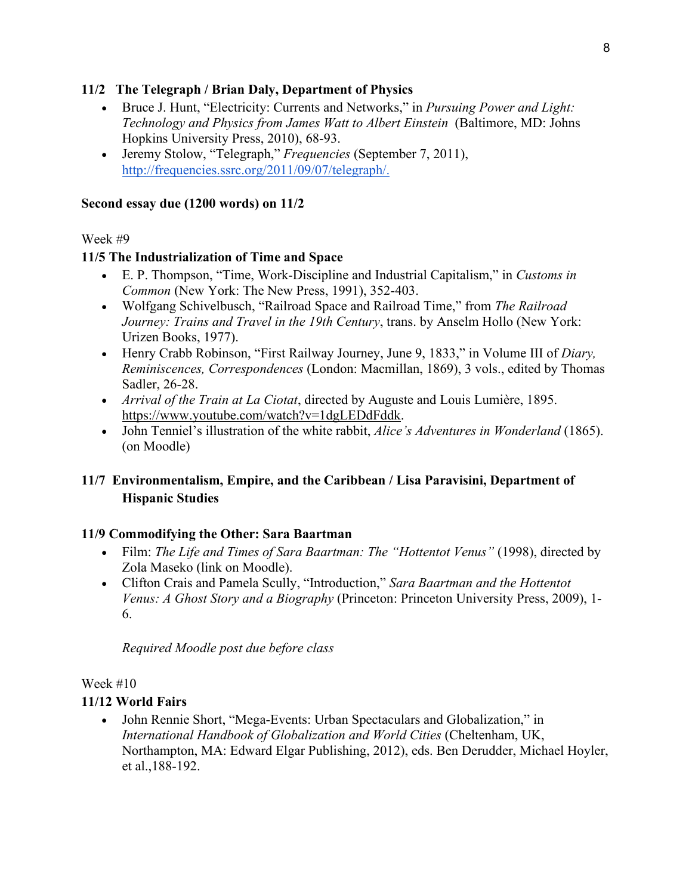### **11/2 The Telegraph / Brian Daly, Department of Physics**

- Bruce J. Hunt, "Electricity: Currents and Networks," in *Pursuing Power and Light: Technology and Physics from James Watt to Albert Einstein* (Baltimore, MD: Johns Hopkins University Press, 2010), 68-93.
- Jeremy Stolow, "Telegraph," *Frequencies* (September 7, 2011), [http://frequencies.ssrc.org/2011/09/07/telegraph/.](http://frequencies.ssrc.org/2011/09/07/telegraph/)

#### **Second essay due (1200 words) on 11/2**

#### Week #9

#### **11/5 The Industrialization of Time and Space**

- E. P. Thompson, "Time, Work-Discipline and Industrial Capitalism," in *Customs in Common* (New York: The New Press, 1991), 352-403.
- Wolfgang Schivelbusch, "Railroad Space and Railroad Time," from *The Railroad Journey: Trains and Travel in the 19th Century*, trans. by Anselm Hollo (New York: Urizen Books, 1977).
- Henry Crabb Robinson, "First Railway Journey, June 9, 1833," in Volume III of *Diary, Reminiscences, Correspondences* (London: Macmillan, 1869), 3 vols., edited by Thomas Sadler, 26-28.
- *Arrival of the Train at La Ciotat*, directed by Auguste and Louis Lumière, 1895. [https://www.youtube.com/watch?v=1dgLEDdFddk.](https://www.youtube.com/watch?v=1dgLEDdFddk)
- John Tenniel's illustration of the white rabbit, *Alice's Adventures in Wonderland* (1865). (on Moodle)

## **11/7 Environmentalism, Empire, and the Caribbean / Lisa Paravisini, Department of Hispanic Studies**

### **11/9 Commodifying the Other: Sara Baartman**

- Film: *The Life and Times of Sara Baartman: The "Hottentot Venus"* (1998), directed by Zola Maseko (link on Moodle).
- Clifton Crais and Pamela Scully, "Introduction," *Sara Baartman and the Hottentot Venus: A Ghost Story and a Biography* (Princeton: Princeton University Press, 2009), 1- 6.

*Required Moodle post due before class*

#### Week #10

### **11/12 World Fairs**

• John Rennie Short, "Mega-Events: Urban Spectaculars and Globalization," in *International Handbook of Globalization and World Cities* (Cheltenham, UK, Northampton, MA: Edward Elgar Publishing, 2012), eds. Ben Derudder, Michael Hoyler, et al.,188-192.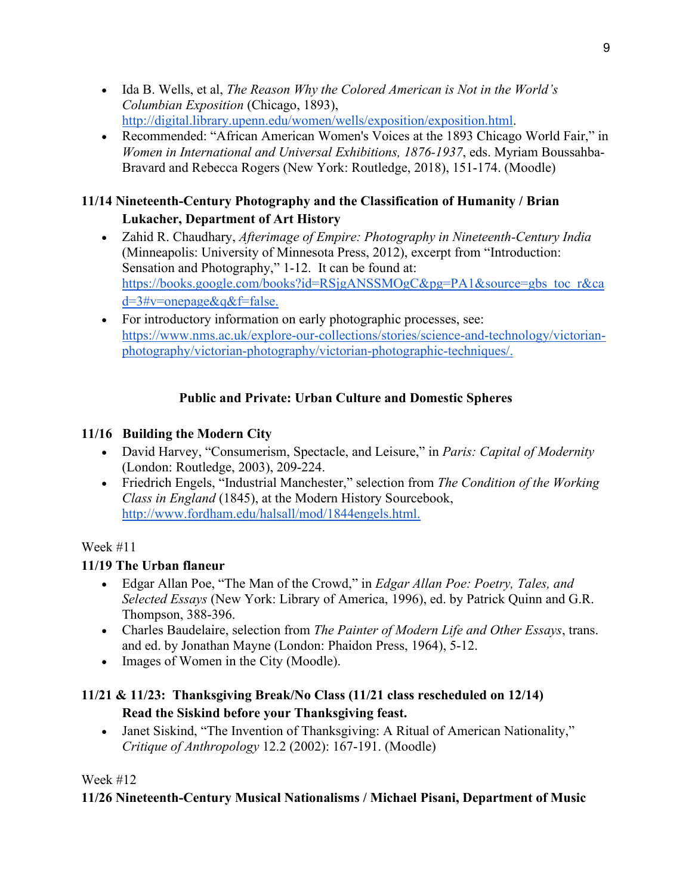- Ida B. Wells, et al, *The Reason Why the Colored American is Not in the World's Columbian Exposition* (Chicago, 1893), [http://digital.library.upenn.edu/women/wells/exposition/exposition.html.](http://digital.library.upenn.edu/women/wells/exposition/exposition.html)
- Recommended: "African American Women's Voices at the 1893 Chicago World Fair," in *Women in International and Universal Exhibitions, 1876-1937*, eds. Myriam Boussahba-Bravard and Rebecca Rogers (New York: Routledge, 2018), 151-174. (Moodle)

# **11/14 Nineteenth-Century Photography and the Classification of Humanity / Brian Lukacher, Department of Art History**

- Zahid R. Chaudhary, *Afterimage of Empire: Photography in Nineteenth-Century India* (Minneapolis: University of Minnesota Press, 2012), excerpt from "Introduction: Sensation and Photography," 1-12. It can be found at: [https://books.google.com/books?id=RSjgANSSMOgC&pg=PA1&source=gbs\\_toc\\_r&ca](https://books.google.com/books?id=RSjgANSSMOgC&pg=PA1&source=gbs_toc_r&cad=3#v=onepage&q&f=false) [d=3#v=onepage&q&f=false.](https://books.google.com/books?id=RSjgANSSMOgC&pg=PA1&source=gbs_toc_r&cad=3#v=onepage&q&f=false)
- For introductory information on early photographic processes, see: [https://www.nms.ac.uk/explore-our-collections/stories/science-and-technology/victorian](https://www.nms.ac.uk/explore-our-collections/stories/science-and-technology/victorian-photography/victorian-photography/victorian-photographic-techniques/)[photography/victorian-photography/victorian-photographic-techniques/.](https://www.nms.ac.uk/explore-our-collections/stories/science-and-technology/victorian-photography/victorian-photography/victorian-photographic-techniques/)

# **Public and Private: Urban Culture and Domestic Spheres**

## **11/16 Building the Modern City**

- David Harvey, "Consumerism, Spectacle, and Leisure," in *Paris: Capital of Modernity*  (London: Routledge, 2003), 209-224.
- Friedrich Engels, "Industrial Manchester," selection from *The Condition of the Working Class in England* (1845), at the Modern History Sourcebook[,](http://www.fordham.edu/halsall/mod/1844engels.html) [http://www.fordham.edu/halsall/mod/1844engels.html.](http://www.fordham.edu/halsall/mod/1844engels.html)

## Week #11

## **11/19 The Urban flaneur**

- Edgar Allan Poe, "The Man of the Crowd," in *Edgar Allan Poe: Poetry, Tales, and Selected Essays* (New York: Library of America, 1996), ed. by Patrick Quinn and G.R. Thompson, 388-396.
- Charles Baudelaire, selection from *The Painter of Modern Life and Other Essays*, trans. and ed. by Jonathan Mayne (London: Phaidon Press, 1964), 5-12.
- Images of Women in the City (Moodle).

# **11/21 & 11/23: Thanksgiving Break/No Class (11/21 class rescheduled on 12/14) Read the Siskind before your Thanksgiving feast.**

• Janet Siskind, "The Invention of Thanksgiving: A Ritual of American Nationality," *Critique of Anthropology* 12.2 (2002): 167-191. (Moodle)

## Week  $#12$

## **11/26 Nineteenth-Century Musical Nationalisms / Michael Pisani, Department of Music**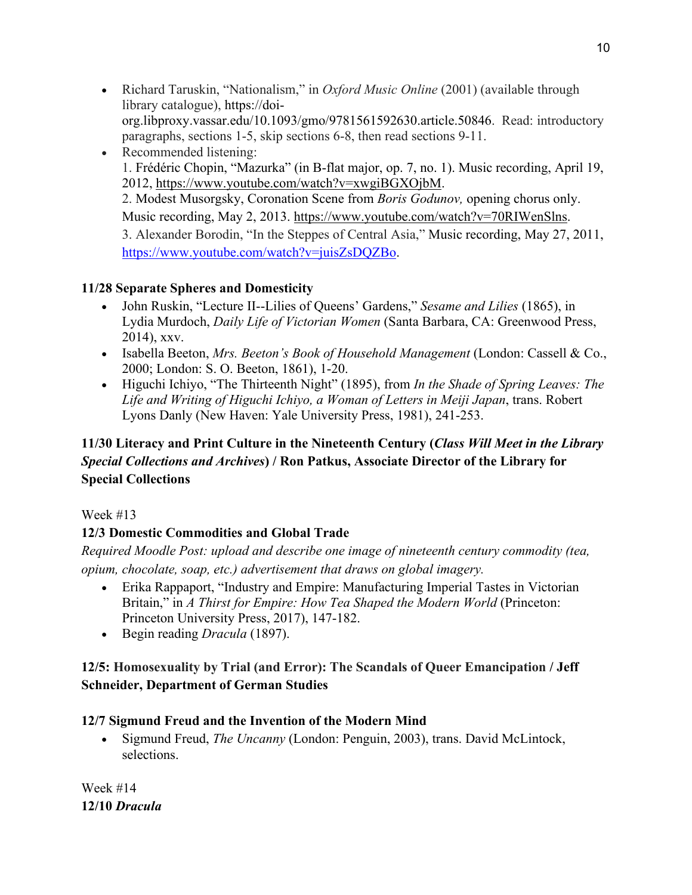- Richard Taruskin, "Nationalism," in *Oxford Music Online* (2001) (available through library catalogue), [https://doi](https://doi-org.libproxy.vassar.edu/10.1093/gmo/9781561592630.article.50846)[org.libproxy.vassar.edu/10.1093/gmo/9781561592630.article.50846.](https://doi-org.libproxy.vassar.edu/10.1093/gmo/9781561592630.article.50846) Read: introductory paragraphs, sections 1-5, skip sections 6-8, then read sections 9-11.
- Recommended listening: 1. Frédéric Chopin, "Mazurka" (in B-flat major, op. 7, no. 1). Music recording, April 19, 2012, [https://www.youtube.com/watch?v=xwgiBGXOjbM.](https://www.youtube.com/watch?v=xwgiBGXOjbM) 2. Modest Musorgsky, Coronation Scene from *Boris Godunov,* opening chorus only. Music recording, May 2, 2013. [https://www.youtube.com/watch?v=70RIWenSlns.](https://www.youtube.com/watch?v=70RIWenSlns) 3. Alexander Borodin, "In the Steppes of Central Asia," Music recording, May 27, 2011, [https://www.youtube.com/watch?v=juisZsDQZBo.](https://www.youtube.com/watch?v=juisZsDQZBo)

## **11/28 Separate Spheres and Domesticity**

- John Ruskin, "Lecture II--Lilies of Queens' Gardens," *Sesame and Lilies* (1865), in Lydia Murdoch, *Daily Life of Victorian Women* (Santa Barbara, CA: Greenwood Press, 2014), xxv.
- Isabella Beeton, *Mrs. Beeton's Book of Household Management* (London: Cassell & Co., 2000; London: S. O. Beeton, 1861), 1-20.
- Higuchi Ichiyo, "The Thirteenth Night" (1895), from *In the Shade of Spring Leaves: The Life and Writing of Higuchi Ichiyo, a Woman of Letters in Meiji Japan*, trans. Robert Lyons Danly (New Haven: Yale University Press, 1981), 241-253.

# **11/30 Literacy and Print Culture in the Nineteenth Century (***Class Will Meet in the Library Special Collections and Archives***) / Ron Patkus, Associate Director of the Library for Special Collections**

## Week #13

## **12/3 Domestic Commodities and Global Trade**

*Required Moodle Post: upload and describe one image of nineteenth century commodity (tea, opium, chocolate, soap, etc.) advertisement that draws on global imagery.*

- Erika Rappaport, "Industry and Empire: Manufacturing Imperial Tastes in Victorian Britain," in *A Thirst for Empire: How Tea Shaped the Modern World* (Princeton: Princeton University Press, 2017), 147-182.
- Begin reading *Dracula* (1897).

## **12/5: Homosexuality by Trial (and Error): The Scandals of Queer Emancipation / Jeff Schneider, Department of German Studies**

## **12/7 Sigmund Freud and the Invention of the Modern Mind**

• Sigmund Freud, *The Uncanny* (London: Penguin, 2003), trans. David McLintock, selections.

Week #14 **12/10** *Dracula*